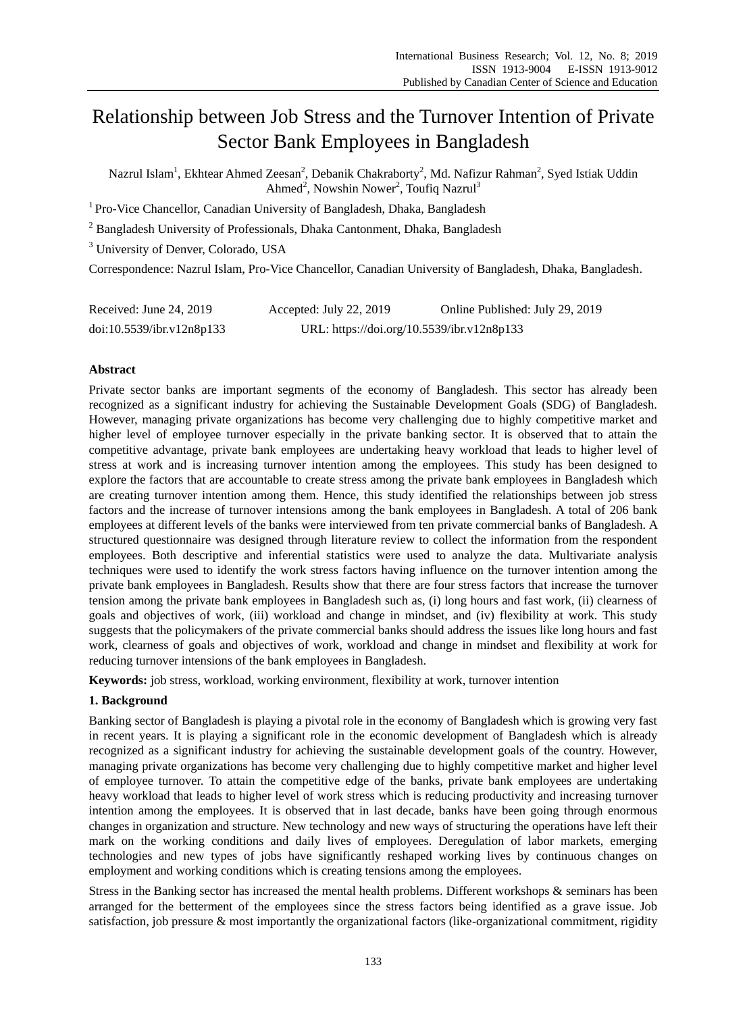# Relationship between Job Stress and the Turnover Intention of Private Sector Bank Employees in Bangladesh

Nazrul Islam<sup>1</sup>, Ekhtear Ahmed Zeesan<sup>2</sup>, Debanik Chakraborty<sup>2</sup>, Md. Nafizur Rahman<sup>2</sup>, Syed Istiak Uddin Ahmed<sup>2</sup>, Nowshin Nower<sup>2</sup>, Toufiq Nazrul<sup>3</sup>

<sup>1</sup> Pro-Vice Chancellor, Canadian University of Bangladesh, Dhaka, Bangladesh

<sup>2</sup> Bangladesh University of Professionals, Dhaka Cantonment, Dhaka, Bangladesh

<sup>3</sup> University of Denver, Colorado, USA

Correspondence: Nazrul Islam, Pro-Vice Chancellor, Canadian University of Bangladesh, Dhaka, Bangladesh.

| Received: June 24, 2019   | Accepted: July 22, 2019                    | Online Published: July 29, 2019 |
|---------------------------|--------------------------------------------|---------------------------------|
| doi:10.5539/ibr.v12n8p133 | URL: https://doi.org/10.5539/ibr.v12n8p133 |                                 |

# **Abstract**

Private sector banks are important segments of the economy of Bangladesh. This sector has already been recognized as a significant industry for achieving the Sustainable Development Goals (SDG) of Bangladesh. However, managing private organizations has become very challenging due to highly competitive market and higher level of employee turnover especially in the private banking sector. It is observed that to attain the competitive advantage, private bank employees are undertaking heavy workload that leads to higher level of stress at work and is increasing turnover intention among the employees. This study has been designed to explore the factors that are accountable to create stress among the private bank employees in Bangladesh which are creating turnover intention among them. Hence, this study identified the relationships between job stress factors and the increase of turnover intensions among the bank employees in Bangladesh. A total of 206 bank employees at different levels of the banks were interviewed from ten private commercial banks of Bangladesh. A structured questionnaire was designed through literature review to collect the information from the respondent employees. Both descriptive and inferential statistics were used to analyze the data. Multivariate analysis techniques were used to identify the work stress factors having influence on the turnover intention among the private bank employees in Bangladesh. Results show that there are four stress factors that increase the turnover tension among the private bank employees in Bangladesh such as, (i) long hours and fast work, (ii) clearness of goals and objectives of work, (iii) workload and change in mindset, and (iv) flexibility at work. This study suggests that the policymakers of the private commercial banks should address the issues like long hours and fast work, clearness of goals and objectives of work, workload and change in mindset and flexibility at work for reducing turnover intensions of the bank employees in Bangladesh.

**Keywords:** job stress, workload, working environment, flexibility at work, turnover intention

## **1. Background**

Banking sector of Bangladesh is playing a pivotal role in the economy of Bangladesh which is growing very fast in recent years. It is playing a significant role in the economic development of Bangladesh which is already recognized as a significant industry for achieving the sustainable development goals of the country. However, managing private organizations has become very challenging due to highly competitive market and higher level of employee turnover. To attain the competitive edge of the banks, private bank employees are undertaking heavy workload that leads to higher level of work stress which is reducing productivity and increasing turnover intention among the employees. It is observed that in last decade, banks have been going through enormous changes in organization and structure. New technology and new ways of structuring the operations have left their mark on the working conditions and daily lives of employees. Deregulation of labor markets, emerging technologies and new types of jobs have significantly reshaped working lives by continuous changes on employment and working conditions which is creating tensions among the employees.

Stress in the Banking sector has increased the mental health problems. Different workshops & seminars has been arranged for the betterment of the employees since the stress factors being identified as a grave issue. Job satisfaction, job pressure & most importantly the organizational factors (like-organizational commitment, rigidity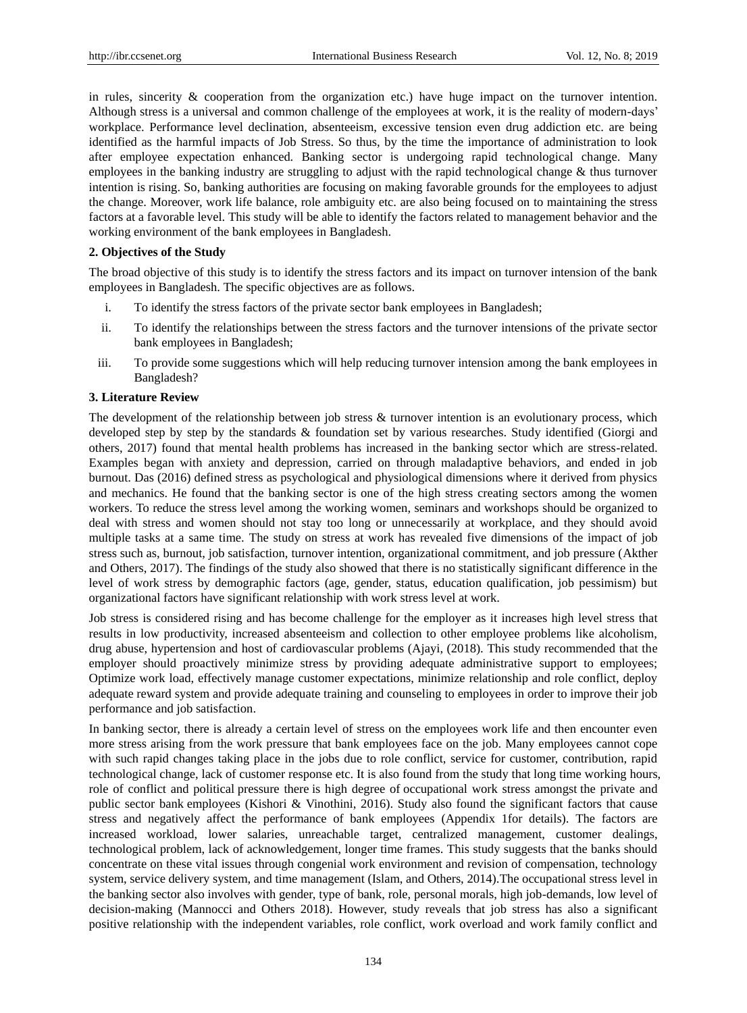in rules, sincerity  $\&$  cooperation from the organization etc.) have huge impact on the turnover intention. Although stress is a universal and common challenge of the employees at work, it is the reality of modern-days' workplace. Performance level declination, absenteeism, excessive tension even drug addiction etc. are being identified as the harmful impacts of Job Stress. So thus, by the time the importance of administration to look after employee expectation enhanced. Banking sector is undergoing rapid technological change. Many employees in the banking industry are struggling to adjust with the rapid technological change & thus turnover intention is rising. So, banking authorities are focusing on making favorable grounds for the employees to adjust the change. Moreover, work life balance, role ambiguity etc. are also being focused on to maintaining the stress factors at a favorable level. This study will be able to identify the factors related to management behavior and the working environment of the bank employees in Bangladesh.

## **2. Objectives of the Study**

The broad objective of this study is to identify the stress factors and its impact on turnover intension of the bank employees in Bangladesh. The specific objectives are as follows.

- i. To identify the stress factors of the private sector bank employees in Bangladesh;
- ii. To identify the relationships between the stress factors and the turnover intensions of the private sector bank employees in Bangladesh;
- iii. To provide some suggestions which will help reducing turnover intension among the bank employees in Bangladesh?

#### **3. Literature Review**

The development of the relationship between job stress & turnover intention is an evolutionary process, which developed step by step by the standards & foundation set by various researches. Study identified (Giorgi and others, 2017) found that mental health problems has increased in the banking sector which are stress-related. Examples began with anxiety and depression, carried on through maladaptive behaviors, and ended in job burnout. Das (2016) defined stress as psychological and physiological dimensions where it derived from physics and mechanics. He found that the banking sector is one of the high stress creating sectors among the women workers. To reduce the stress level among the working women, seminars and workshops should be organized to deal with stress and women should not stay too long or unnecessarily at workplace, and they should avoid multiple tasks at a same time. The study on stress at work has revealed five dimensions of the impact of job stress such as, burnout, job satisfaction, turnover intention, organizational commitment, and job pressure (Akther and Others, 2017). The findings of the study also showed that there is no statistically significant difference in the level of work stress by demographic factors (age, gender, status, education qualification, job pessimism) but organizational factors have significant relationship with work stress level at work.

Job stress is considered rising and has become challenge for the employer as it increases high level stress that results in low productivity, increased absenteeism and collection to other employee problems like alcoholism, drug abuse, hypertension and host of cardiovascular problems (Ajayi, (2018). This study recommended that the employer should proactively minimize stress by providing adequate administrative support to employees; Optimize work load, effectively manage customer expectations, minimize relationship and role conflict, deploy adequate reward system and provide adequate training and counseling to employees in order to improve their job performance and job satisfaction.

In banking sector, there is already a certain level of stress on the employees work life and then encounter even more stress arising from the work pressure that bank employees face on the job. Many employees cannot cope with such rapid changes taking place in the jobs due to role conflict, service for customer, contribution, rapid technological change, lack of customer response etc. It is also found from the study that long time working hours, role of conflict and political pressure there is high degree of occupational work stress amongst the private and public sector bank employees (Kishori & Vinothini, 2016). Study also found the significant factors that cause stress and negatively affect the performance of bank employees (Appendix 1for details). The factors are increased workload, lower salaries, unreachable target, centralized management, customer dealings, technological problem, lack of acknowledgement, longer time frames. This study suggests that the banks should concentrate on these vital issues through congenial work environment and revision of compensation, technology system, service delivery system, and time management (Islam, and Others, 2014).The occupational stress level in the banking sector also involves with gender, type of bank, role, personal morals, high job-demands, low level of decision-making (Mannocci and Others 2018). However, study reveals that job stress has also a significant positive relationship with the independent variables, role conflict, work overload and work family conflict and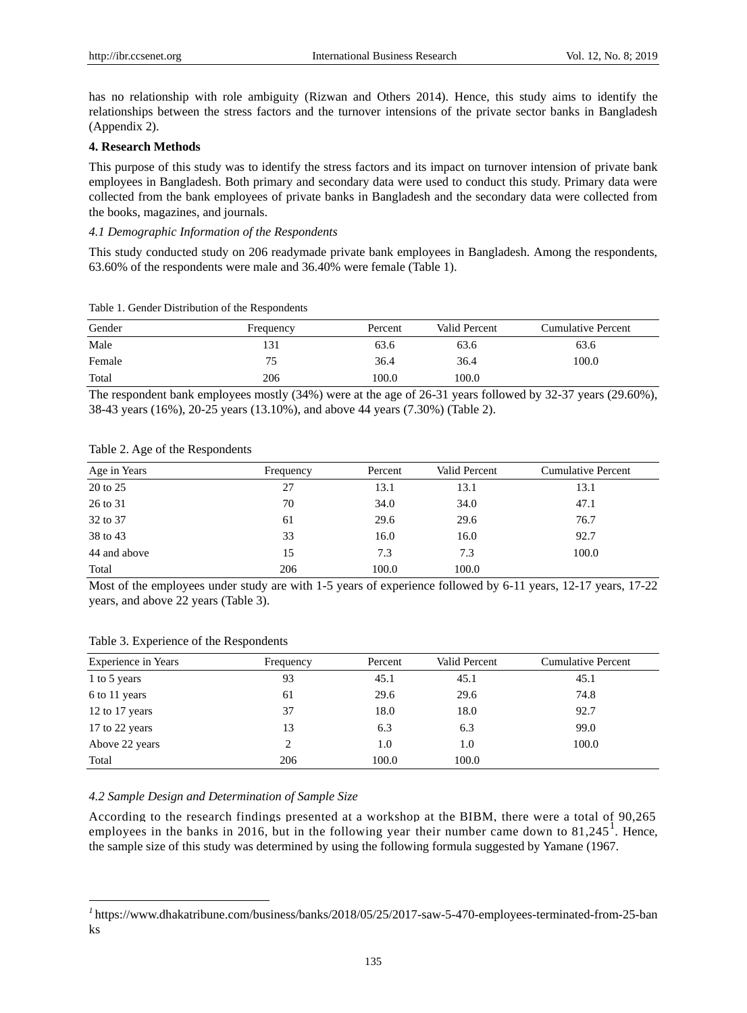has no relationship with role ambiguity (Rizwan and Others 2014). Hence, this study aims to identify the relationships between the stress factors and the turnover intensions of the private sector banks in Bangladesh (Appendix 2).

## **4. Research Methods**

This purpose of this study was to identify the stress factors and its impact on turnover intension of private bank employees in Bangladesh. Both primary and secondary data were used to conduct this study. Primary data were collected from the bank employees of private banks in Bangladesh and the secondary data were collected from the books, magazines, and journals.

## *4.1 Demographic Information of the Respondents*

This study conducted study on 206 readymade private bank employees in Bangladesh. Among the respondents, 63.60% of the respondents were male and 36.40% were female (Table 1).

| Gender | Frequency | Percent | Valid Percent | Cumulative Percent |
|--------|-----------|---------|---------------|--------------------|
| Male   | 131       | 63.6    | 63.6          | 63.6               |
| Female | 75        | 36.4    | 36.4          | 100.0              |
| Total  | 206       | 100.0   | 100.0         |                    |

Table 1. Gender Distribution of the Respondents

The respondent bank employees mostly (34%) were at the age of 26-31 years followed by 32-37 years (29.60%), 38-43 years (16%), 20-25 years (13.10%), and above 44 years (7.30%) (Table 2).

| Age in Years | Frequency | Percent | Valid Percent | <b>Cumulative Percent</b> |
|--------------|-----------|---------|---------------|---------------------------|
| 20 to 25     | 27        | 13.1    | 13.1          | 13.1                      |
| 26 to 31     | 70        | 34.0    | 34.0          | 47.1                      |
| 32 to 37     | 61        | 29.6    | 29.6          | 76.7                      |
| 38 to 43     | 33        | 16.0    | 16.0          | 92.7                      |
| 44 and above | 15        | 7.3     | 7.3           | 100.0                     |
| Total        | 206       | 100.0   | 100.0         |                           |

#### Table 2. Age of the Respondents

Most of the employees under study are with 1-5 years of experience followed by 6-11 years, 12-17 years, 17-22 years, and above 22 years (Table 3).

| Table 3. Experience of the Respondents |  |
|----------------------------------------|--|
|----------------------------------------|--|

-

| <b>Experience in Years</b> | Frequency | Percent | Valid Percent | <b>Cumulative Percent</b> |
|----------------------------|-----------|---------|---------------|---------------------------|
| 1 to 5 years               | 93        | 45.1    | 45.1          | 45.1                      |
| 6 to 11 years              | 61        | 29.6    | 29.6          | 74.8                      |
| 12 to 17 years             | 37        | 18.0    | 18.0          | 92.7                      |
| 17 to 22 years             | 13        | 6.3     | 6.3           | 99.0                      |
| Above 22 years             | 2         | 1.0     | 1.0           | 100.0                     |
| Total                      | 206       | 100.0   | 100.0         |                           |

#### *4.2 Sample Design and Determination of Sample Size*

According to the research findings presented at a workshop at the BIBM, there were a total of 90,265 employees in the banks in 2016, but in the following year their number came down to  $81,245^{\circ}$ . Hence, the sample size of this study was determined by using the following formula suggested by Yamane (1967.

<sup>&</sup>lt;sup>1</sup> [https://www.dhakatribune.com/business/banks/2018/05/25/2017-saw-5-470-employees-terminated-from-25-ban](https://www.dhakatribune.com/business/banks/2018/05/25/2017-saw-5-470-employees-terminated-from-25-banks) [ks](https://www.dhakatribune.com/business/banks/2018/05/25/2017-saw-5-470-employees-terminated-from-25-banks)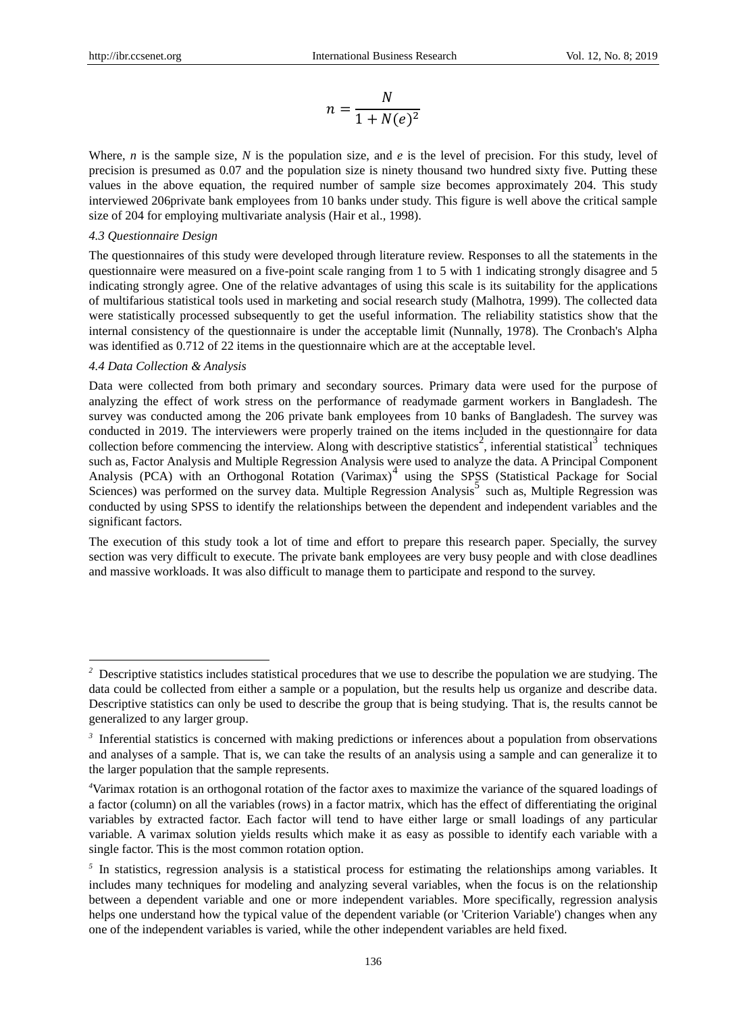$$
n = \frac{N}{1 + N(e)^2}
$$

Where, *n* is the sample size, *N* is the population size, and *e* is the level of precision. For this study, level of precision is presumed as 0.07 and the population size is ninety thousand two hundred sixty five. Putting these values in the above equation, the required number of sample size becomes approximately 204. This study interviewed 206private bank employees from 10 banks under study. This figure is well above the critical sample size of 204 for employing multivariate analysis (Hair et al.*,* 1998).

#### *4.3 Questionnaire Design*

The questionnaires of this study were developed through literature review. Responses to all the statements in the questionnaire were measured on a five-point scale ranging from 1 to 5 with 1 indicating strongly disagree and 5 indicating strongly agree. One of the relative advantages of using this scale is its suitability for the applications of multifarious statistical tools used in marketing and social research study (Malhotra, 1999). The collected data were statistically processed subsequently to get the useful information. The reliability statistics show that the internal consistency of the questionnaire is under the acceptable limit (Nunnally, 1978). The Cronbach's Alpha was identified as 0.712 of 22 items in the questionnaire which are at the acceptable level.

#### *4.4 Data Collection & Analysis*

-

Data were collected from both primary and secondary sources. Primary data were used for the purpose of analyzing the effect of work stress on the performance of readymade garment workers in Bangladesh. The survey was conducted among the 206 private bank employees from 10 banks of Bangladesh. The survey was conducted in 2019. The interviewers were properly trained on the items included in the questionnaire for data collection before commencing the interview. Along with descriptive statistics<sup>2</sup>, inferential statistical<sup>3</sup> techniques such as, Factor Analysis and Multiple Regression Analysis were used to analyze the data. A Principal Component Analysis (PCA) with an Orthogonal Rotation (Varimax)<sup>4</sup> using the SPSS (Statistical Package for Social Sciences) was performed on the survey data. Multiple Regression Analysis<sup>5</sup> such as, Multiple Regression was conducted by using SPSS to identify the relationships between the dependent and independent variables and the significant factors.

The execution of this study took a lot of time and effort to prepare this research paper. Specially, the survey section was very difficult to execute. The private bank employees are very busy people and with close deadlines and massive workloads. It was also difficult to manage them to participate and respond to the survey.

<sup>&</sup>lt;sup>2</sup> Descriptive statistics includes statistical procedures that we use to describe the population we are studying. The data could be collected from either a sample or a population, but the results help us organize and describe data. Descriptive statistics can only be used to describe the group that is being studying. That is, the results cannot be generalized to any larger group.

<sup>&</sup>lt;sup>3</sup> Inferential statistics is concerned with making predictions or inferences about a population from observations and analyses of a sample. That is, we can take the results of an analysis using a sample and can generalize it to the larger population that the sample represents.

*<sup>4</sup>*[Varimax rotation](http://en.wikipedia.org/wiki/Varimax_rotation) is an orthogonal rotation of the factor axes to maximize the variance of the squared loadings of a factor (column) on all the variables (rows) in a factor matrix, which has the effect of differentiating the original variables by extracted factor. Each factor will tend to have either large or small loadings of any particular variable. A varimax solution yields results which make it as easy as possible to identify each variable with a single factor. This is the most common rotation option.

<sup>&</sup>lt;sup>5</sup> In [statistics,](http://en.wikipedia.org/wiki/Statistics) regression analysis is a statistical process for estimating the relationships among variables. It includes many techniques for modeling and analyzing several variables, when the focus is on the relationship between a [dependent variable](http://en.wikipedia.org/wiki/Dependent_variable) and one or more [independent variables.](http://en.wikipedia.org/wiki/Independent_variable) More specifically, regression analysis helps one understand how the typical value of the dependent variable (or 'Criterion Variable') changes when any one of the independent variables is varied, while the other independent variables are held fixed.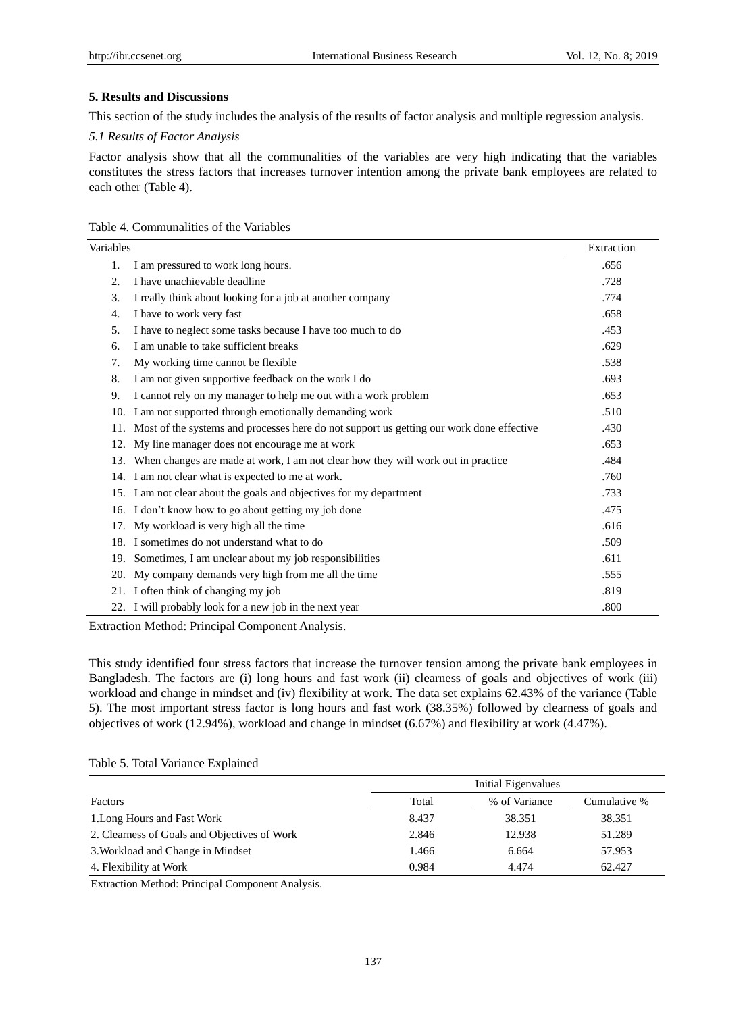## **5. Results and Discussions**

This section of the study includes the analysis of the results of factor analysis and multiple regression analysis.

### *5.1 Results of Factor Analysis*

Factor analysis show that all the communalities of the variables are very high indicating that the variables constitutes the stress factors that increases turnover intention among the private bank employees are related to each other (Table 4).

## Table 4. Communalities of the Variables

| Variables |                                                                                              | Extraction |
|-----------|----------------------------------------------------------------------------------------------|------------|
| 1.        | I am pressured to work long hours.                                                           | .656       |
| 2.        | I have unachievable deadline                                                                 | .728       |
| 3.        | I really think about looking for a job at another company                                    | .774       |
| 4.        | I have to work very fast                                                                     | .658       |
| 5.        | I have to neglect some tasks because I have too much to do                                   | .453       |
| 6.        | I am unable to take sufficient breaks                                                        | .629       |
| 7.        | My working time cannot be flexible.                                                          | .538       |
| 8.        | I am not given supportive feedback on the work I do                                          | .693       |
| 9.        | I cannot rely on my manager to help me out with a work problem                               | .653       |
|           | 10. I am not supported through emotionally demanding work                                    | .510       |
|           | 11. Most of the systems and processes here do not support us getting our work done effective | .430       |
| 12.       | My line manager does not encourage me at work                                                | .653       |
| 13.       | When changes are made at work, I am not clear how they will work out in practice             | .484       |
|           | 14. I am not clear what is expected to me at work.                                           | .760       |
|           | 15. I am not clear about the goals and objectives for my department                          | .733       |
| 16.       | I don't know how to go about getting my job done                                             | .475       |
| 17.       | My workload is very high all the time                                                        | .616       |
|           | 18. I sometimes do not understand what to do                                                 | .509       |
|           | 19. Sometimes, I am unclear about my job responsibilities                                    | .611       |
| 20.       | My company demands very high from me all the time                                            | .555       |
|           | 21. I often think of changing my job                                                         | .819       |
|           | 22. I will probably look for a new job in the next year                                      | .800       |

Extraction Method: Principal Component Analysis.

This study identified four stress factors that increase the turnover tension among the private bank employees in Bangladesh. The factors are (i) long hours and fast work (ii) clearness of goals and objectives of work (iii) workload and change in mindset and (iv) flexibility at work. The data set explains 62.43% of the variance (Table 5). The most important stress factor is long hours and fast work (38.35%) followed by clearness of goals and objectives of work (12.94%), workload and change in mindset (6.67%) and flexibility at work (4.47%).

## Table 5. Total Variance Explained

|                                              | Initial Eigenvalues |               |              |  |
|----------------------------------------------|---------------------|---------------|--------------|--|
| Factors                                      | Total               | % of Variance | Cumulative % |  |
| 1. Long Hours and Fast Work                  | 8.437               | 38.351        | 38.351       |  |
| 2. Clearness of Goals and Objectives of Work | 2.846               | 12.938        | 51.289       |  |
| 3. Workload and Change in Mindset            | 1.466               | 6.664         | 57.953       |  |
| 4. Flexibility at Work                       | 0.984               | 4.474         | 62.427       |  |

Extraction Method: Principal Component Analysis.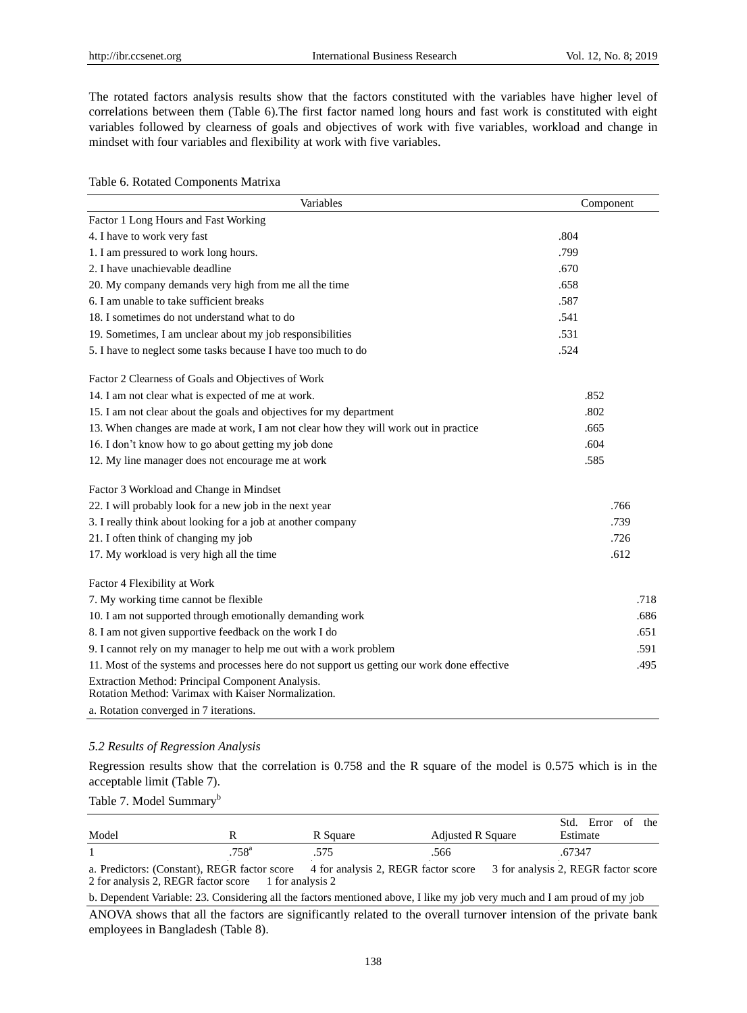The rotated factors analysis results show that the factors constituted with the variables have higher level of correlations between them (Table 6).The first factor named long hours and fast work is constituted with eight variables followed by clearness of goals and objectives of work with five variables, workload and change in mindset with four variables and flexibility at work with five variables.

Table 6. Rotated Components Matrixa

| Variables                                                                                               | Component |
|---------------------------------------------------------------------------------------------------------|-----------|
| Factor 1 Long Hours and Fast Working                                                                    |           |
| 4. I have to work very fast                                                                             | .804      |
| 1. I am pressured to work long hours.                                                                   | .799      |
| 2. I have unachievable deadline                                                                         | .670      |
| 20. My company demands very high from me all the time                                                   | .658      |
| 6. I am unable to take sufficient breaks                                                                | .587      |
| 18. I sometimes do not understand what to do                                                            | .541      |
| 19. Sometimes, I am unclear about my job responsibilities                                               | .531      |
| 5. I have to neglect some tasks because I have too much to do                                           | .524      |
| Factor 2 Clearness of Goals and Objectives of Work                                                      |           |
| 14. I am not clear what is expected of me at work.                                                      | .852      |
| 15. I am not clear about the goals and objectives for my department                                     | .802      |
| 13. When changes are made at work, I am not clear how they will work out in practice                    | .665      |
| 16. I don't know how to go about getting my job done                                                    | .604      |
| 12. My line manager does not encourage me at work                                                       | .585      |
| Factor 3 Workload and Change in Mindset                                                                 |           |
| 22. I will probably look for a new job in the next year                                                 | .766      |
| 3. I really think about looking for a job at another company                                            | .739      |
| 21. I often think of changing my job                                                                    | .726      |
| 17. My workload is very high all the time                                                               | .612      |
| Factor 4 Flexibility at Work                                                                            |           |
| 7. My working time cannot be flexible                                                                   | .718      |
| 10. I am not supported through emotionally demanding work                                               | .686      |
| 8. I am not given supportive feedback on the work I do                                                  | .651      |
| 9. I cannot rely on my manager to help me out with a work problem                                       | .591      |
| 11. Most of the systems and processes here do not support us getting our work done effective            | .495      |
| Extraction Method: Principal Component Analysis.<br>Rotation Method: Varimax with Kaiser Normalization. |           |
| a. Rotation converged in 7 iterations.                                                                  |           |

#### *5.2 Results of Regression Analysis*

Regression results show that the correlation is 0.758 and the R square of the model is 0.575 which is in the acceptable limit (Table 7).

# Table 7. Model Summary<sup>b</sup>

| Model |               | R Square | <b>Adjusted R Square</b> | Std.<br>Error<br>the<br>ΟĪ<br>Estimate |
|-------|---------------|----------|--------------------------|----------------------------------------|
|       | $758^{\rm a}$ | د رد.    | .566                     | .67347                                 |

a. Predictors: (Constant), REGR factor score 4 for analysis 2, REGR factor score 3 for analysis 2, REGR factor score 2 for analysis 2, REGR factor score 1 for analysis 2

b. Dependent Variable: 23. Considering all the factors mentioned above, I like my job very much and I am proud of my job

ANOVA shows that all the factors are significantly related to the overall turnover intension of the private bank employees in Bangladesh (Table 8).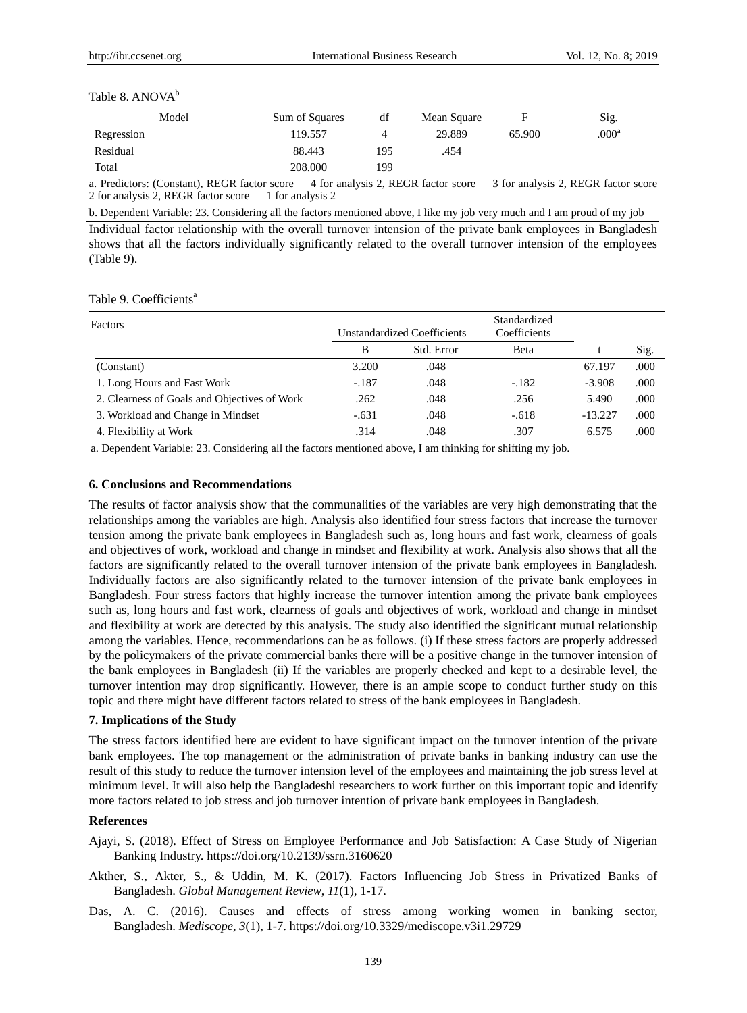#### Table 8. ANOVA<sup>b</sup>

| Model      | Sum of Squares | df  | Mean Square |        | Sig.              |
|------------|----------------|-----|-------------|--------|-------------------|
| Regression | 119.557        |     | 29.889      | 65.900 | .000 <sup>a</sup> |
| Residual   | 88.443         | 195 | .454        |        |                   |
| Total      | 208,000        | 199 |             |        |                   |
|            |                | .   |             | ____   |                   |

a. Predictors: (Constant), REGR factor score 4 for analysis 2, REGR factor score 3 for analysis 2, REGR factor score 2 for analysis 2, REGR factor score 1 for analysis 2

b. Dependent Variable: 23. Considering all the factors mentioned above, I like my job very much and I am proud of my job

Individual factor relationship with the overall turnover intension of the private bank employees in Bangladesh shows that all the factors individually significantly related to the overall turnover intension of the employees (Table 9).

|  | Table 9. Coefficients <sup>a</sup> |  |
|--|------------------------------------|--|
|--|------------------------------------|--|

| Factors                                                                                                    | Unstandardized Coefficients |            | Standardized<br>Coefficients |           |       |  |
|------------------------------------------------------------------------------------------------------------|-----------------------------|------------|------------------------------|-----------|-------|--|
|                                                                                                            | B                           | Std. Error | Beta                         |           | Sig.  |  |
| (Constant)                                                                                                 | 3.200                       | .048       |                              | 67.197    | .000  |  |
| 1. Long Hours and Fast Work                                                                                | $-.187$                     | .048       | $-182$                       | $-3.908$  | .000  |  |
| 2. Clearness of Goals and Objectives of Work                                                               | .262                        | .048       | .256                         | 5.490     | .000  |  |
| 3. Workload and Change in Mindset                                                                          | $-.631$                     | .048       | $-.618$                      | $-13.227$ | .000  |  |
| 4. Flexibility at Work                                                                                     | .314                        | .048       | .307                         | 6.575     | .000. |  |
| a. Dependent Variable: 23. Considering all the factors mentioned above. I am thinking for shifting my job. |                             |            |                              |           |       |  |

#### **6. Conclusions and Recommendations**

The results of factor analysis show that the communalities of the variables are very high demonstrating that the relationships among the variables are high. Analysis also identified four stress factors that increase the turnover tension among the private bank employees in Bangladesh such as, long hours and fast work, clearness of goals and objectives of work, workload and change in mindset and flexibility at work. Analysis also shows that all the factors are significantly related to the overall turnover intension of the private bank employees in Bangladesh. Individually factors are also significantly related to the turnover intension of the private bank employees in Bangladesh. Four stress factors that highly increase the turnover intention among the private bank employees such as, long hours and fast work, clearness of goals and objectives of work, workload and change in mindset and flexibility at work are detected by this analysis. The study also identified the significant mutual relationship among the variables. Hence, recommendations can be as follows. (i) If these stress factors are properly addressed by the policymakers of the private commercial banks there will be a positive change in the turnover intension of the bank employees in Bangladesh (ii) If the variables are properly checked and kept to a desirable level, the turnover intention may drop significantly. However, there is an ample scope to conduct further study on this topic and there might have different factors related to stress of the bank employees in Bangladesh.

#### **7. Implications of the Study**

The stress factors identified here are evident to have significant impact on the turnover intention of the private bank employees. The top management or the administration of private banks in banking industry can use the result of this study to reduce the turnover intension level of the employees and maintaining the job stress level at minimum level. It will also help the Bangladeshi researchers to work further on this important topic and identify more factors related to job stress and job turnover intention of private bank employees in Bangladesh.

## **References**

- Ajayi, S. (2018). Effect of Stress on Employee Performance and Job Satisfaction: A Case Study of Nigerian Banking Industry. https://doi.org/10.2139/ssrn.3160620
- Akther, S., Akter, S., & Uddin, M. K. (2017). Factors Influencing Job Stress in Privatized Banks of Bangladesh. *Global Management Review*, *11*(1), 1-17.
- Das, A. C. (2016). Causes and effects of stress among working women in banking sector, Bangladesh. *Mediscope*, *3*(1), 1-7. https://doi.org/10.3329/mediscope.v3i1.29729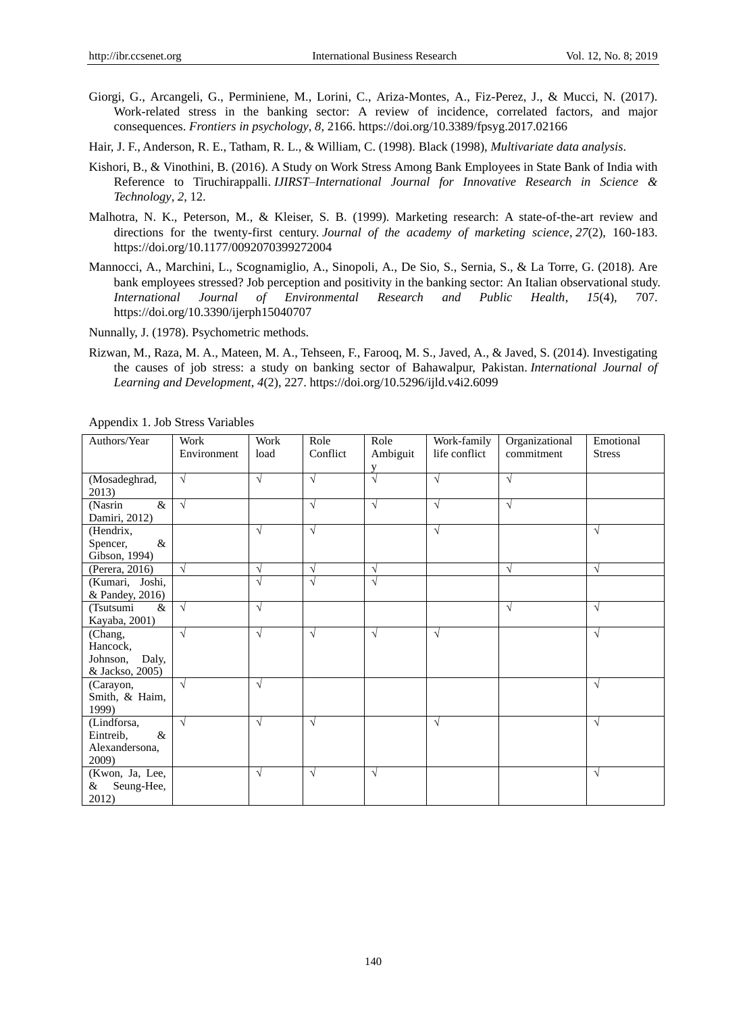- Giorgi, G., Arcangeli, G., Perminiene, M., Lorini, C., Ariza-Montes, A., Fiz-Perez, J., & Mucci, N. (2017). Work-related stress in the banking sector: A review of incidence, correlated factors, and major consequences. *Frontiers in psychology*, *8*, 2166. https://doi.org/10.3389/fpsyg.2017.02166
- Hair, J. F., Anderson, R. E., Tatham, R. L., & William, C. (1998). Black (1998), *Multivariate data analysis*.
- Kishori, B., & Vinothini, B. (2016). A Study on Work Stress Among Bank Employees in State Bank of India with Reference to Tiruchirappalli. *IJIRST–International Journal for Innovative Research in Science & Technology*, *2*, 12.
- Malhotra, N. K., Peterson, M., & Kleiser, S. B. (1999). Marketing research: A state-of-the-art review and directions for the twenty-first century. *Journal of the academy of marketing science*, *27*(2), 160-183. https://doi.org/10.1177/0092070399272004
- Mannocci, A., Marchini, L., Scognamiglio, A., Sinopoli, A., De Sio, S., Sernia, S., & La Torre, G. (2018). Are bank employees stressed? Job perception and positivity in the banking sector: An Italian observational study. *International Journal of Environmental Research and Public Health*, *15*(4), 707. https://doi.org/10.3390/ijerph15040707
- Nunnally, J. (1978). Psychometric methods.
- Rizwan, M., Raza, M. A., Mateen, M. A., Tehseen, F., Farooq, M. S., Javed, A., & Javed, S. (2014). Investigating the causes of job stress: a study on banking sector of Bahawalpur, Pakistan. *International Journal of Learning and Development*, *4*(2), 227. https://doi.org/10.5296/ijld.v4i2.6099

| Authors/Year                                                | Work<br>Environment | Work<br>load | Role<br>Conflict | Role<br>Ambiguit<br>V | Work-family<br>life conflict | Organizational<br>commitment | Emotional<br><b>Stress</b> |
|-------------------------------------------------------------|---------------------|--------------|------------------|-----------------------|------------------------------|------------------------------|----------------------------|
| (Mosadeghrad,<br>2013)                                      | $\sqrt{ }$          | $\sqrt{ }$   | $\sqrt{ }$       | $\sqrt{ }$            | $\sqrt{ }$                   | N                            |                            |
| $\&$<br>(Nasrin<br>Damiri, 2012)                            | $\sqrt{ }$          |              | $\sqrt{ }$       | $\sqrt{ }$            | $\sqrt{ }$                   | $\sqrt{ }$                   |                            |
| (Hendrix,<br>$\&$<br>Spencer,<br>Gibson, 1994)              |                     | $\sqrt{ }$   | $\sqrt{ }$       |                       | $\sqrt{ }$                   |                              | $\sqrt{ }$                 |
| (Perera, 2016)                                              | $\sqrt{ }$          | $\sqrt{ }$   | $\sqrt{ }$       | $\sqrt{ }$            |                              | N                            | $\sqrt{ }$                 |
| (Kumari, Joshi,<br>& Pandey, 2016)                          |                     | $\sqrt{ }$   | $\sqrt{}$        | $\sqrt{ }$            |                              |                              |                            |
| (Tsutsumi<br>&<br>Kayaba, 2001)                             | $\sqrt{}$           | $\sqrt{ }$   |                  |                       |                              | V                            | $\sqrt{ }$                 |
| (Chang,<br>Hancock,<br>Johnson,<br>Daly,<br>& Jackso, 2005) | $\sqrt{ }$          | $\sqrt{ }$   | $\sqrt{ }$       | $\sqrt{ }$            | $\sqrt{ }$                   |                              | $\sqrt{ }$                 |
| (Carayon,<br>Smith, & Haim,<br>1999)                        | $\sqrt{ }$          | $\sqrt{ }$   |                  |                       |                              |                              | $\sqrt{ }$                 |
| (Lindforsa,<br>Eintreib,<br>$\&$<br>Alexandersona,<br>2009) | $\sqrt{ }$          | $\sqrt{ }$   | $\sqrt{ }$       |                       | $\sqrt{ }$                   |                              | $\sqrt{ }$                 |
| (Kwon, Ja, Lee,<br>Seung-Hee,<br>&<br>2012)                 |                     | $\sqrt{ }$   | $\sqrt{}$        | $\sqrt{ }$            |                              |                              | $\sqrt{ }$                 |

Appendix 1. Job Stress Variables